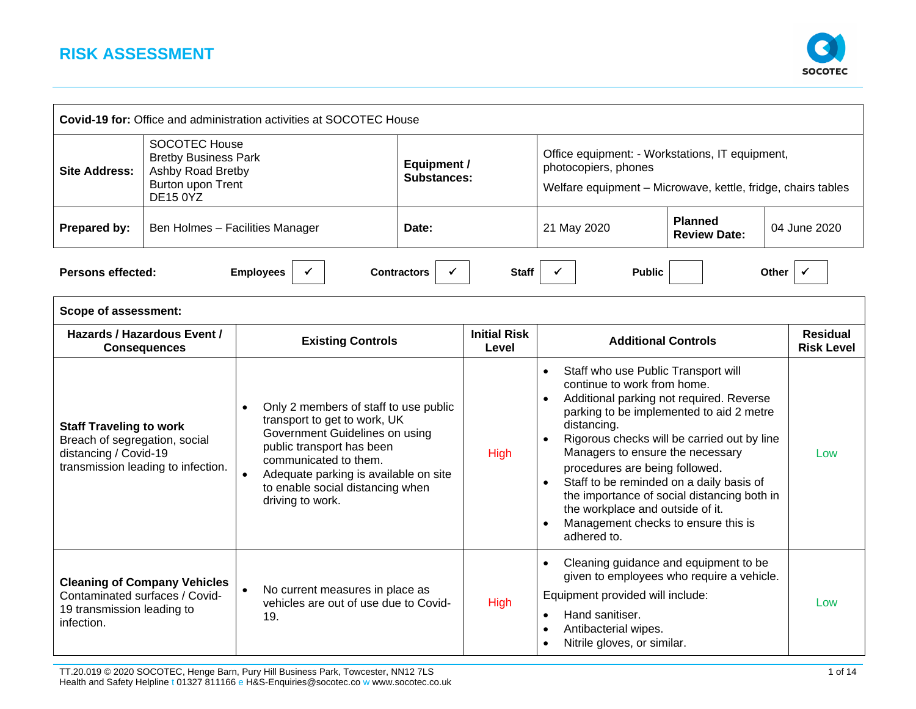

| <b>Covid-19 for: Office and administration activities at SOCOTEC House</b>               |                                                                                                                  |                                                                                                                                                                                                                                                                                          |                                          |                              |                                                                                                                                                                                                                                                                                                                                                        |                                                                                                                                        |                                      |
|------------------------------------------------------------------------------------------|------------------------------------------------------------------------------------------------------------------|------------------------------------------------------------------------------------------------------------------------------------------------------------------------------------------------------------------------------------------------------------------------------------------|------------------------------------------|------------------------------|--------------------------------------------------------------------------------------------------------------------------------------------------------------------------------------------------------------------------------------------------------------------------------------------------------------------------------------------------------|----------------------------------------------------------------------------------------------------------------------------------------|--------------------------------------|
| <b>Site Address:</b>                                                                     | <b>SOCOTEC House</b><br><b>Bretby Business Park</b><br>Ashby Road Bretby<br>Burton upon Trent<br><b>DE15 0YZ</b> |                                                                                                                                                                                                                                                                                          | <b>Equipment /</b><br><b>Substances:</b> |                              | Office equipment: - Workstations, IT equipment,<br>photocopiers, phones<br>Welfare equipment - Microwave, kettle, fridge, chairs tables                                                                                                                                                                                                                |                                                                                                                                        |                                      |
| Prepared by:                                                                             | Ben Holmes - Facilities Manager                                                                                  |                                                                                                                                                                                                                                                                                          | Date:                                    |                              | 21 May 2020                                                                                                                                                                                                                                                                                                                                            | <b>Planned</b><br><b>Review Date:</b>                                                                                                  | 04 June 2020                         |
| <b>Persons effected:</b>                                                                 |                                                                                                                  | <b>Employees</b>                                                                                                                                                                                                                                                                         | <b>Contractors</b>                       | <b>Staff</b>                 | <b>Public</b>                                                                                                                                                                                                                                                                                                                                          | Other                                                                                                                                  |                                      |
| Scope of assessment:                                                                     |                                                                                                                  |                                                                                                                                                                                                                                                                                          |                                          |                              |                                                                                                                                                                                                                                                                                                                                                        |                                                                                                                                        |                                      |
|                                                                                          | Hazards / Hazardous Event /<br><b>Consequences</b>                                                               | <b>Existing Controls</b>                                                                                                                                                                                                                                                                 |                                          | <b>Initial Risk</b><br>Level | <b>Additional Controls</b>                                                                                                                                                                                                                                                                                                                             |                                                                                                                                        | <b>Residual</b><br><b>Risk Level</b> |
| <b>Staff Traveling to work</b><br>Breach of segregation, social<br>distancing / Covid-19 | transmission leading to infection.                                                                               | Only 2 members of staff to use public<br>$\bullet$<br>transport to get to work, UK<br>Government Guidelines on using<br>public transport has been<br>communicated to them.<br>Adequate parking is available on site<br>$\bullet$<br>to enable social distancing when<br>driving to work. |                                          | High                         | Staff who use Public Transport will<br>$\bullet$<br>continue to work from home.<br>Additional parking not required. Reverse<br>distancing.<br>Managers to ensure the necessary<br>procedures are being followed.<br>Staff to be reminded on a daily basis of<br>the workplace and outside of it.<br>Management checks to ensure this is<br>adhered to. | parking to be implemented to aid 2 metre<br>Rigorous checks will be carried out by line<br>the importance of social distancing both in | Low                                  |
| Contaminated surfaces / Covid-<br>19 transmission leading to<br>infection.               | <b>Cleaning of Company Vehicles</b>                                                                              | No current measures in place as<br>$\bullet$<br>vehicles are out of use due to Covid-<br>19.                                                                                                                                                                                             |                                          | High                         | Cleaning guidance and equipment to be<br>$\bullet$<br>Equipment provided will include:<br>Hand sanitiser.<br>$\bullet$<br>Antibacterial wipes.<br>$\bullet$<br>Nitrile gloves, or similar.                                                                                                                                                             | given to employees who require a vehicle.                                                                                              | Low                                  |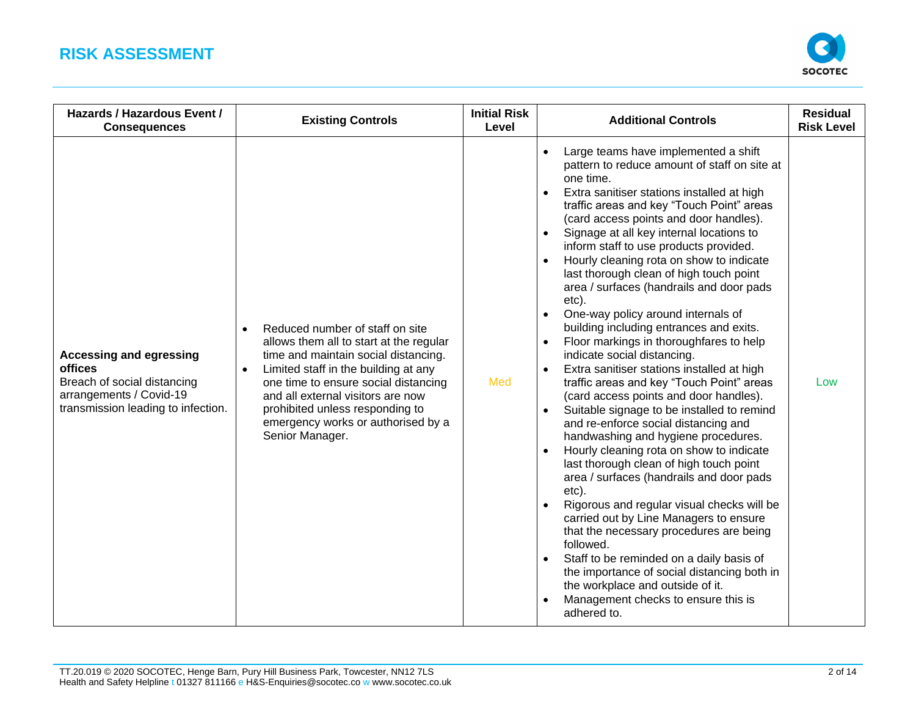

| Hazards / Hazardous Event /<br><b>Consequences</b>                                                                                               | <b>Existing Controls</b>                                                                                                                                                                                                                                                                                                                         | <b>Initial Risk</b><br>Level | <b>Additional Controls</b>                                                                                                                                                                                                                                                                                                                                                                                                                                                                                                                                                                                                                                                                                                                                                                                                                                                                                                                                                                                                                                                                                                                                                                                                                                                                                                                                                                                                                              | <b>Residual</b><br><b>Risk Level</b> |
|--------------------------------------------------------------------------------------------------------------------------------------------------|--------------------------------------------------------------------------------------------------------------------------------------------------------------------------------------------------------------------------------------------------------------------------------------------------------------------------------------------------|------------------------------|---------------------------------------------------------------------------------------------------------------------------------------------------------------------------------------------------------------------------------------------------------------------------------------------------------------------------------------------------------------------------------------------------------------------------------------------------------------------------------------------------------------------------------------------------------------------------------------------------------------------------------------------------------------------------------------------------------------------------------------------------------------------------------------------------------------------------------------------------------------------------------------------------------------------------------------------------------------------------------------------------------------------------------------------------------------------------------------------------------------------------------------------------------------------------------------------------------------------------------------------------------------------------------------------------------------------------------------------------------------------------------------------------------------------------------------------------------|--------------------------------------|
| <b>Accessing and egressing</b><br><b>offices</b><br>Breach of social distancing<br>arrangements / Covid-19<br>transmission leading to infection. | Reduced number of staff on site<br>$\bullet$<br>allows them all to start at the regular<br>time and maintain social distancing.<br>Limited staff in the building at any<br>one time to ensure social distancing<br>and all external visitors are now<br>prohibited unless responding to<br>emergency works or authorised by a<br>Senior Manager. | Med                          | Large teams have implemented a shift<br>pattern to reduce amount of staff on site at<br>one time.<br>Extra sanitiser stations installed at high<br>$\bullet$<br>traffic areas and key "Touch Point" areas<br>(card access points and door handles).<br>Signage at all key internal locations to<br>$\bullet$<br>inform staff to use products provided.<br>Hourly cleaning rota on show to indicate<br>last thorough clean of high touch point<br>area / surfaces (handrails and door pads<br>etc).<br>One-way policy around internals of<br>building including entrances and exits.<br>Floor markings in thoroughfares to help<br>$\bullet$<br>indicate social distancing.<br>Extra sanitiser stations installed at high<br>traffic areas and key "Touch Point" areas<br>(card access points and door handles).<br>Suitable signage to be installed to remind<br>$\bullet$<br>and re-enforce social distancing and<br>handwashing and hygiene procedures.<br>Hourly cleaning rota on show to indicate<br>$\bullet$<br>last thorough clean of high touch point<br>area / surfaces (handrails and door pads<br>etc).<br>Rigorous and regular visual checks will be<br>carried out by Line Managers to ensure<br>that the necessary procedures are being<br>followed.<br>Staff to be reminded on a daily basis of<br>the importance of social distancing both in<br>the workplace and outside of it.<br>Management checks to ensure this is<br>adhered to. | Low                                  |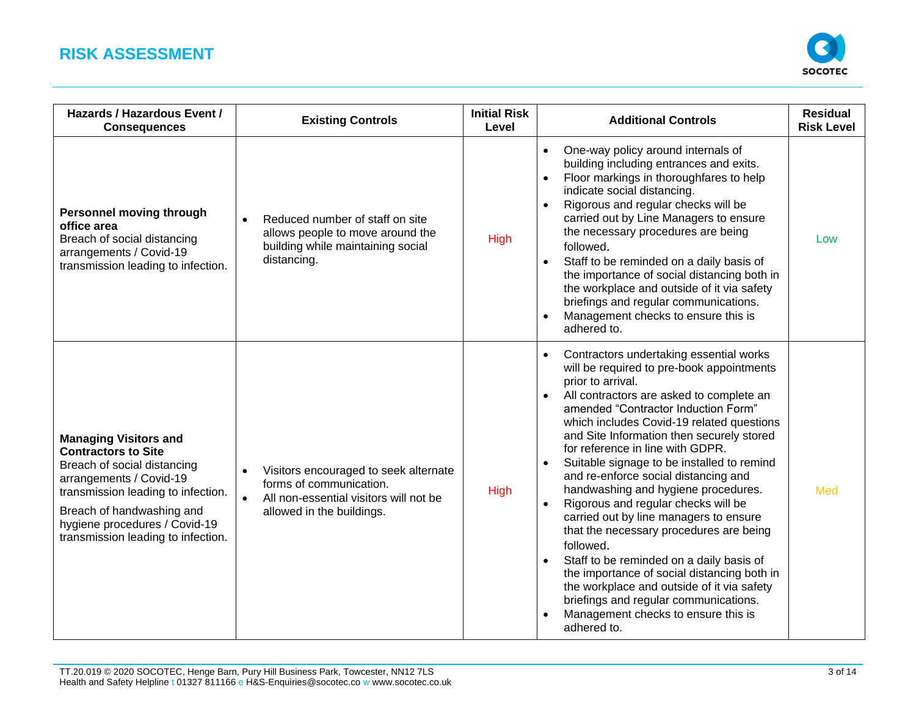

| <b>Hazards / Hazardous Event /</b><br><b>Consequences</b>                                                                                                                                                                                                      | <b>Existing Controls</b>                                                                                                                             | <b>Initial Risk</b><br>Level | <b>Additional Controls</b>                                                                                                                                                                                                                                                                                                                                                                                                                                                                                                                                                                                                                                                                                                                                                                                                               | <b>Residual</b><br><b>Risk Level</b> |
|----------------------------------------------------------------------------------------------------------------------------------------------------------------------------------------------------------------------------------------------------------------|------------------------------------------------------------------------------------------------------------------------------------------------------|------------------------------|------------------------------------------------------------------------------------------------------------------------------------------------------------------------------------------------------------------------------------------------------------------------------------------------------------------------------------------------------------------------------------------------------------------------------------------------------------------------------------------------------------------------------------------------------------------------------------------------------------------------------------------------------------------------------------------------------------------------------------------------------------------------------------------------------------------------------------------|--------------------------------------|
| <b>Personnel moving through</b><br>office area<br>Breach of social distancing<br>arrangements / Covid-19<br>transmission leading to infection.                                                                                                                 | Reduced number of staff on site<br>allows people to move around the<br>building while maintaining social<br>distancing.                              | <b>High</b>                  | One-way policy around internals of<br>$\bullet$<br>building including entrances and exits.<br>Floor markings in thoroughfares to help<br>indicate social distancing.<br>Rigorous and regular checks will be<br>carried out by Line Managers to ensure<br>the necessary procedures are being<br>followed.<br>Staff to be reminded on a daily basis of<br>the importance of social distancing both in<br>the workplace and outside of it via safety<br>briefings and regular communications.<br>Management checks to ensure this is<br>adhered to.                                                                                                                                                                                                                                                                                         | Low                                  |
| <b>Managing Visitors and</b><br><b>Contractors to Site</b><br>Breach of social distancing<br>arrangements / Covid-19<br>transmission leading to infection.<br>Breach of handwashing and<br>hygiene procedures / Covid-19<br>transmission leading to infection. | Visitors encouraged to seek alternate<br>forms of communication.<br>All non-essential visitors will not be<br>$\bullet$<br>allowed in the buildings. | <b>High</b>                  | Contractors undertaking essential works<br>will be required to pre-book appointments<br>prior to arrival.<br>All contractors are asked to complete an<br>amended "Contractor Induction Form"<br>which includes Covid-19 related questions<br>and Site Information then securely stored<br>for reference in line with GDPR.<br>Suitable signage to be installed to remind<br>and re-enforce social distancing and<br>handwashing and hygiene procedures.<br>Rigorous and regular checks will be<br>carried out by line managers to ensure<br>that the necessary procedures are being<br>followed.<br>Staff to be reminded on a daily basis of<br>the importance of social distancing both in<br>the workplace and outside of it via safety<br>briefings and regular communications.<br>Management checks to ensure this is<br>adhered to. | Med                                  |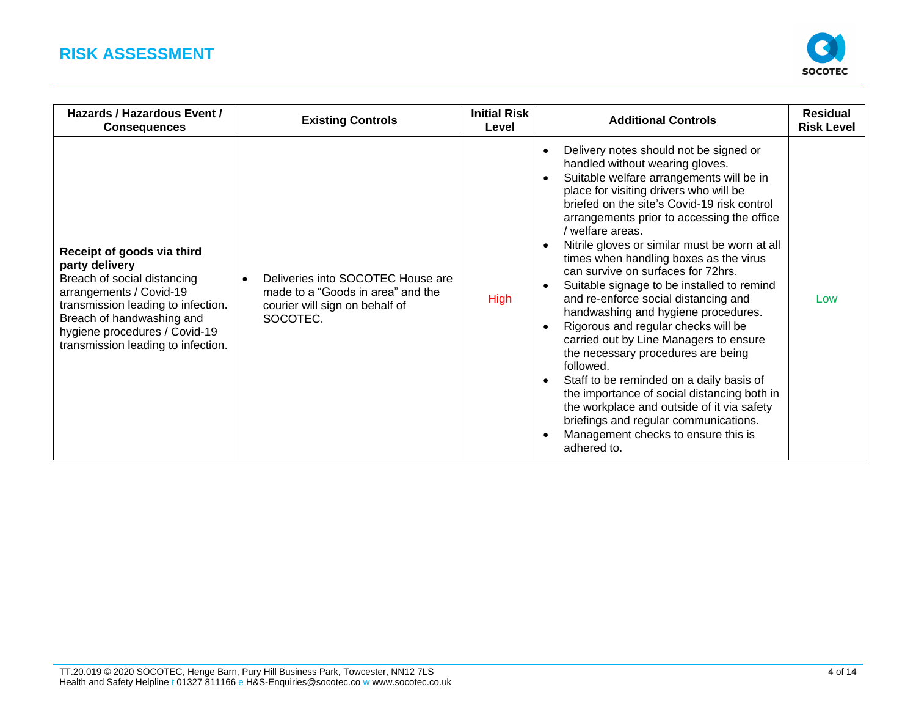

| Hazards / Hazardous Event /<br><b>Consequences</b>                                                                                                                                                                                               | <b>Existing Controls</b>                                                                                             | <b>Initial Risk</b><br>Level | <b>Additional Controls</b>                                                                                                                                                                                                                                                                                                                                                                                                                                                                                                                                                                                                                                                                                                                                                                                                                                                                                                              | <b>Residual</b><br><b>Risk Level</b> |
|--------------------------------------------------------------------------------------------------------------------------------------------------------------------------------------------------------------------------------------------------|----------------------------------------------------------------------------------------------------------------------|------------------------------|-----------------------------------------------------------------------------------------------------------------------------------------------------------------------------------------------------------------------------------------------------------------------------------------------------------------------------------------------------------------------------------------------------------------------------------------------------------------------------------------------------------------------------------------------------------------------------------------------------------------------------------------------------------------------------------------------------------------------------------------------------------------------------------------------------------------------------------------------------------------------------------------------------------------------------------------|--------------------------------------|
| Receipt of goods via third<br>party delivery<br>Breach of social distancing<br>arrangements / Covid-19<br>transmission leading to infection.<br>Breach of handwashing and<br>hygiene procedures / Covid-19<br>transmission leading to infection. | Deliveries into SOCOTEC House are<br>made to a "Goods in area" and the<br>courier will sign on behalf of<br>SOCOTEC. | <b>High</b>                  | Delivery notes should not be signed or<br>handled without wearing gloves.<br>Suitable welfare arrangements will be in<br>place for visiting drivers who will be<br>briefed on the site's Covid-19 risk control<br>arrangements prior to accessing the office<br>/ welfare areas.<br>Nitrile gloves or similar must be worn at all<br>times when handling boxes as the virus<br>can survive on surfaces for 72hrs.<br>Suitable signage to be installed to remind<br>and re-enforce social distancing and<br>handwashing and hygiene procedures.<br>Rigorous and regular checks will be<br>carried out by Line Managers to ensure<br>the necessary procedures are being<br>followed.<br>Staff to be reminded on a daily basis of<br>$\bullet$<br>the importance of social distancing both in<br>the workplace and outside of it via safety<br>briefings and regular communications.<br>Management checks to ensure this is<br>adhered to. | Low                                  |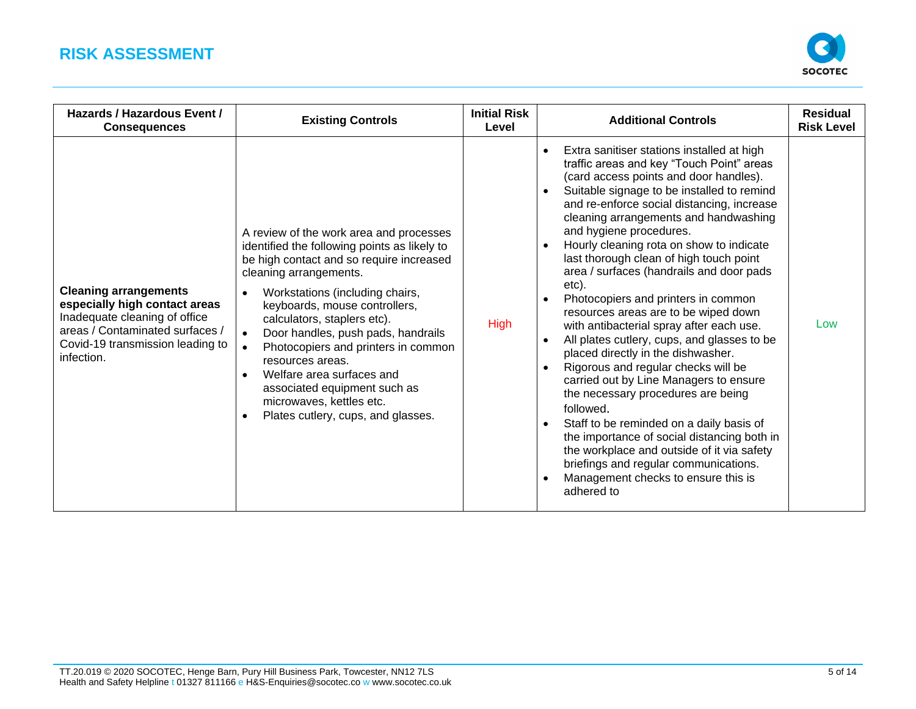

| Hazards / Hazardous Event /<br><b>Consequences</b>                                                                                                                                  | <b>Existing Controls</b>                                                                                                                                                                                                                                                                                                                                                                                                                                                                         | <b>Initial Risk</b><br>Level | <b>Additional Controls</b>                                                                                                                                                                                                                                                                                                                                                                                                                                                                                                                                                                                                                                                                                                                                                                                                                                                                                                                                                                                                                            | <b>Residual</b><br><b>Risk Level</b> |
|-------------------------------------------------------------------------------------------------------------------------------------------------------------------------------------|--------------------------------------------------------------------------------------------------------------------------------------------------------------------------------------------------------------------------------------------------------------------------------------------------------------------------------------------------------------------------------------------------------------------------------------------------------------------------------------------------|------------------------------|-------------------------------------------------------------------------------------------------------------------------------------------------------------------------------------------------------------------------------------------------------------------------------------------------------------------------------------------------------------------------------------------------------------------------------------------------------------------------------------------------------------------------------------------------------------------------------------------------------------------------------------------------------------------------------------------------------------------------------------------------------------------------------------------------------------------------------------------------------------------------------------------------------------------------------------------------------------------------------------------------------------------------------------------------------|--------------------------------------|
| <b>Cleaning arrangements</b><br>especially high contact areas<br>Inadequate cleaning of office<br>areas / Contaminated surfaces /<br>Covid-19 transmission leading to<br>infection. | A review of the work area and processes<br>identified the following points as likely to<br>be high contact and so require increased<br>cleaning arrangements.<br>Workstations (including chairs,<br>keyboards, mouse controllers,<br>calculators, staplers etc).<br>Door handles, push pads, handrails<br>Photocopiers and printers in common<br>resources areas.<br>Welfare area surfaces and<br>associated equipment such as<br>microwaves, kettles etc.<br>Plates cutlery, cups, and glasses. | <b>High</b>                  | Extra sanitiser stations installed at high<br>$\bullet$<br>traffic areas and key "Touch Point" areas<br>(card access points and door handles).<br>Suitable signage to be installed to remind<br>and re-enforce social distancing, increase<br>cleaning arrangements and handwashing<br>and hygiene procedures.<br>Hourly cleaning rota on show to indicate<br>last thorough clean of high touch point<br>area / surfaces (handrails and door pads<br>etc).<br>Photocopiers and printers in common<br>resources areas are to be wiped down<br>with antibacterial spray after each use.<br>All plates cutlery, cups, and glasses to be<br>placed directly in the dishwasher.<br>Rigorous and regular checks will be<br>carried out by Line Managers to ensure<br>the necessary procedures are being<br>followed.<br>Staff to be reminded on a daily basis of<br>the importance of social distancing both in<br>the workplace and outside of it via safety<br>briefings and regular communications.<br>Management checks to ensure this is<br>adhered to | Low                                  |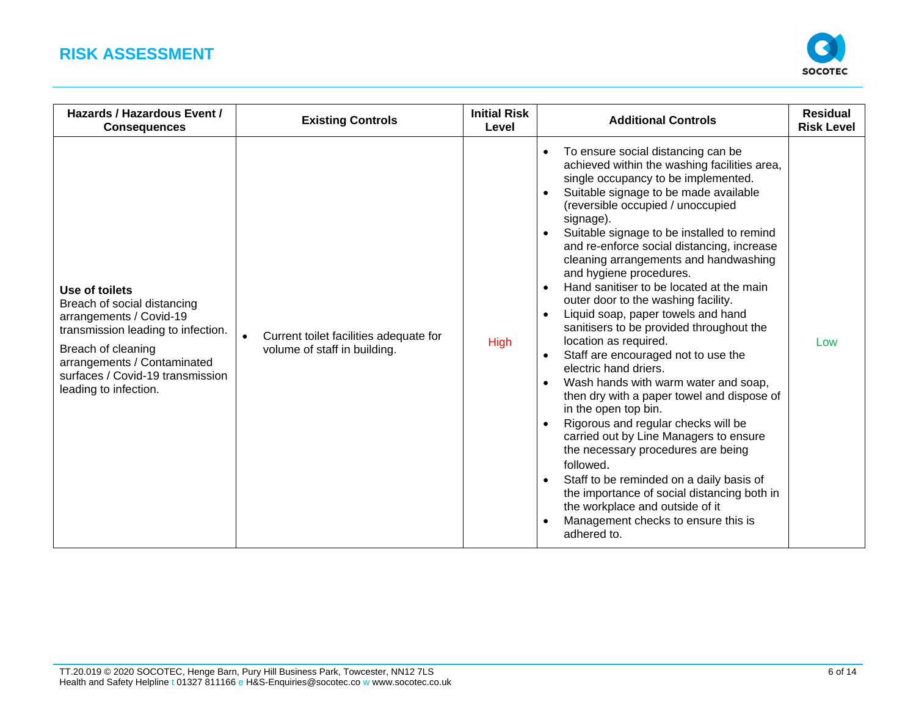

| Hazards / Hazardous Event /<br><b>Consequences</b>                                                                                                                                                                               | <b>Existing Controls</b>                                               | <b>Initial Risk</b><br>Level | <b>Additional Controls</b>                                                                                                                                                                                                                                                                                                                                                                                                                                                                                                                                                                                                                                                                                                                                                                                                                                                                                                                                                                                                                                                                                                                   | <b>Residual</b><br><b>Risk Level</b> |
|----------------------------------------------------------------------------------------------------------------------------------------------------------------------------------------------------------------------------------|------------------------------------------------------------------------|------------------------------|----------------------------------------------------------------------------------------------------------------------------------------------------------------------------------------------------------------------------------------------------------------------------------------------------------------------------------------------------------------------------------------------------------------------------------------------------------------------------------------------------------------------------------------------------------------------------------------------------------------------------------------------------------------------------------------------------------------------------------------------------------------------------------------------------------------------------------------------------------------------------------------------------------------------------------------------------------------------------------------------------------------------------------------------------------------------------------------------------------------------------------------------|--------------------------------------|
| Use of toilets<br>Breach of social distancing<br>arrangements / Covid-19<br>transmission leading to infection.<br>Breach of cleaning<br>arrangements / Contaminated<br>surfaces / Covid-19 transmission<br>leading to infection. | Current toilet facilities adequate for<br>volume of staff in building. | High                         | To ensure social distancing can be<br>$\bullet$<br>achieved within the washing facilities area,<br>single occupancy to be implemented.<br>Suitable signage to be made available<br>(reversible occupied / unoccupied<br>signage).<br>Suitable signage to be installed to remind<br>$\bullet$<br>and re-enforce social distancing, increase<br>cleaning arrangements and handwashing<br>and hygiene procedures.<br>Hand sanitiser to be located at the main<br>$\bullet$<br>outer door to the washing facility.<br>Liquid soap, paper towels and hand<br>sanitisers to be provided throughout the<br>location as required.<br>Staff are encouraged not to use the<br>electric hand driers.<br>Wash hands with warm water and soap,<br>$\bullet$<br>then dry with a paper towel and dispose of<br>in the open top bin.<br>Rigorous and regular checks will be<br>carried out by Line Managers to ensure<br>the necessary procedures are being<br>followed.<br>Staff to be reminded on a daily basis of<br>the importance of social distancing both in<br>the workplace and outside of it<br>Management checks to ensure this is<br>adhered to. | Low                                  |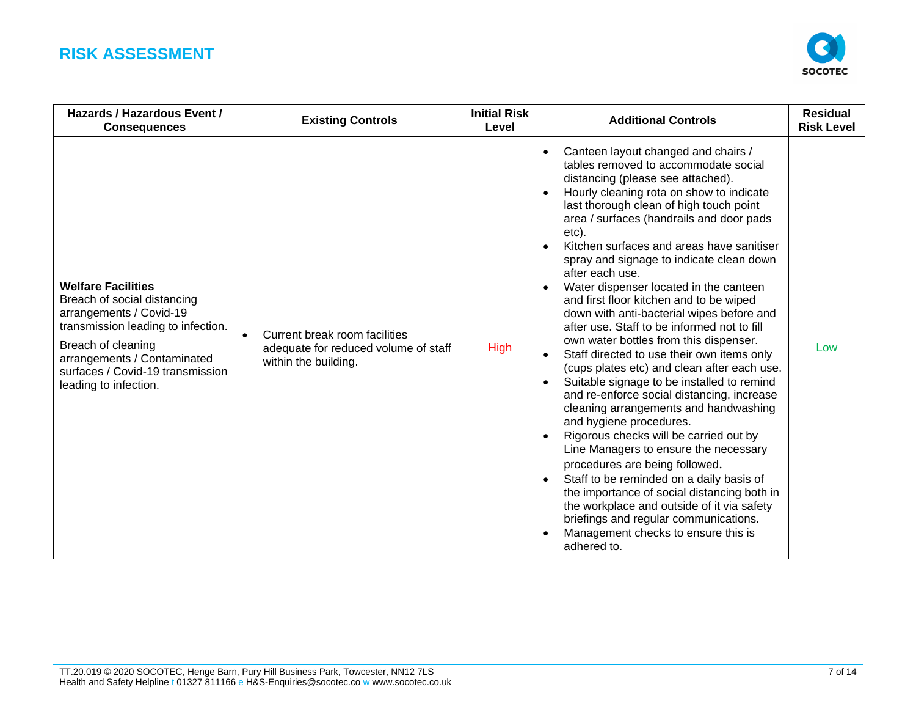

| Hazards / Hazardous Event /<br><b>Consequences</b>                                                                                                                                                                                          | <b>Existing Controls</b>                                                                                   | <b>Initial Risk</b><br>Level | <b>Additional Controls</b>                                                                                                                                                                                                                                                                                                                                                                                                                                                                                                                                                                                                                                                                                                                                                                                                                                                                                                                                                                                                                                                                                                                                                                                                                                                        | <b>Residual</b><br><b>Risk Level</b> |
|---------------------------------------------------------------------------------------------------------------------------------------------------------------------------------------------------------------------------------------------|------------------------------------------------------------------------------------------------------------|------------------------------|-----------------------------------------------------------------------------------------------------------------------------------------------------------------------------------------------------------------------------------------------------------------------------------------------------------------------------------------------------------------------------------------------------------------------------------------------------------------------------------------------------------------------------------------------------------------------------------------------------------------------------------------------------------------------------------------------------------------------------------------------------------------------------------------------------------------------------------------------------------------------------------------------------------------------------------------------------------------------------------------------------------------------------------------------------------------------------------------------------------------------------------------------------------------------------------------------------------------------------------------------------------------------------------|--------------------------------------|
| <b>Welfare Facilities</b><br>Breach of social distancing<br>arrangements / Covid-19<br>transmission leading to infection.<br>Breach of cleaning<br>arrangements / Contaminated<br>surfaces / Covid-19 transmission<br>leading to infection. | Current break room facilities<br>$\bullet$<br>adequate for reduced volume of staff<br>within the building. | <b>High</b>                  | Canteen layout changed and chairs /<br>$\bullet$<br>tables removed to accommodate social<br>distancing (please see attached).<br>Hourly cleaning rota on show to indicate<br>$\bullet$<br>last thorough clean of high touch point<br>area / surfaces (handrails and door pads<br>etc).<br>Kitchen surfaces and areas have sanitiser<br>spray and signage to indicate clean down<br>after each use.<br>Water dispenser located in the canteen<br>and first floor kitchen and to be wiped<br>down with anti-bacterial wipes before and<br>after use. Staff to be informed not to fill<br>own water bottles from this dispenser.<br>Staff directed to use their own items only<br>$\bullet$<br>(cups plates etc) and clean after each use.<br>Suitable signage to be installed to remind<br>and re-enforce social distancing, increase<br>cleaning arrangements and handwashing<br>and hygiene procedures.<br>Rigorous checks will be carried out by<br>Line Managers to ensure the necessary<br>procedures are being followed.<br>Staff to be reminded on a daily basis of<br>$\bullet$<br>the importance of social distancing both in<br>the workplace and outside of it via safety<br>briefings and regular communications.<br>Management checks to ensure this is<br>adhered to. | Low                                  |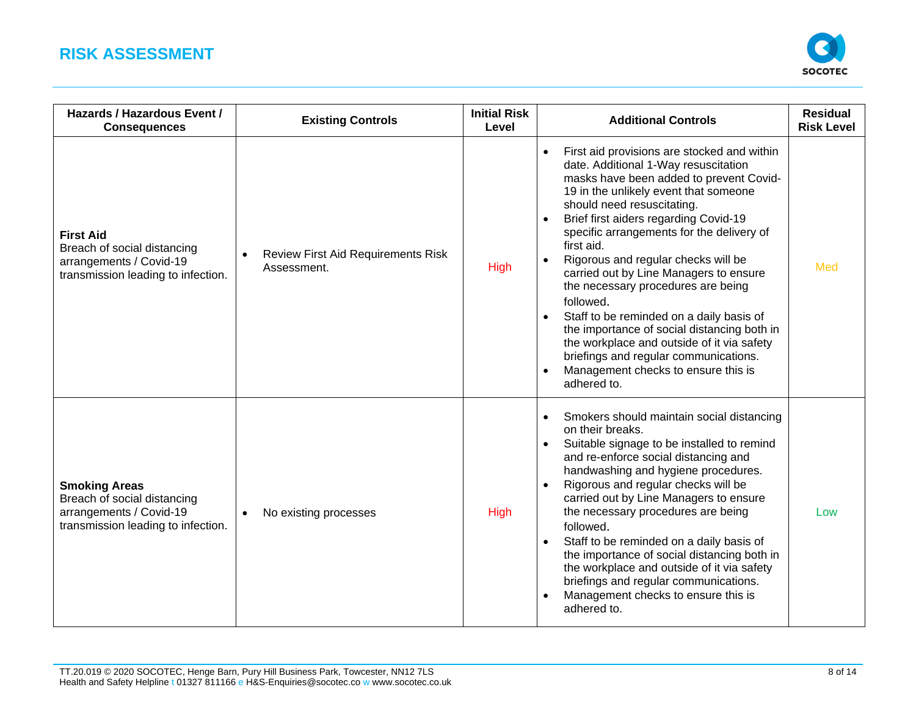

| Hazards / Hazardous Event /<br><b>Consequences</b>                                                                   | <b>Existing Controls</b>                                 | <b>Initial Risk</b><br>Level | <b>Additional Controls</b>                                                                                                                                                                                                                                                                                                                                                                                                                                                                                                                                                                                                                                                            | <b>Residual</b><br><b>Risk Level</b> |
|----------------------------------------------------------------------------------------------------------------------|----------------------------------------------------------|------------------------------|---------------------------------------------------------------------------------------------------------------------------------------------------------------------------------------------------------------------------------------------------------------------------------------------------------------------------------------------------------------------------------------------------------------------------------------------------------------------------------------------------------------------------------------------------------------------------------------------------------------------------------------------------------------------------------------|--------------------------------------|
| <b>First Aid</b><br>Breach of social distancing<br>arrangements / Covid-19<br>transmission leading to infection.     | <b>Review First Aid Requirements Risk</b><br>Assessment. | <b>High</b>                  | First aid provisions are stocked and within<br>date. Additional 1-Way resuscitation<br>masks have been added to prevent Covid-<br>19 in the unlikely event that someone<br>should need resuscitating.<br>Brief first aiders regarding Covid-19<br>specific arrangements for the delivery of<br>first aid.<br>Rigorous and regular checks will be<br>carried out by Line Managers to ensure<br>the necessary procedures are being<br>followed.<br>Staff to be reminded on a daily basis of<br>the importance of social distancing both in<br>the workplace and outside of it via safety<br>briefings and regular communications.<br>Management checks to ensure this is<br>adhered to. | Med                                  |
| <b>Smoking Areas</b><br>Breach of social distancing<br>arrangements / Covid-19<br>transmission leading to infection. | No existing processes<br>$\bullet$                       | <b>High</b>                  | Smokers should maintain social distancing<br>$\bullet$<br>on their breaks.<br>Suitable signage to be installed to remind<br>$\bullet$<br>and re-enforce social distancing and<br>handwashing and hygiene procedures.<br>Rigorous and regular checks will be<br>carried out by Line Managers to ensure<br>the necessary procedures are being<br>followed.<br>Staff to be reminded on a daily basis of<br>$\bullet$<br>the importance of social distancing both in<br>the workplace and outside of it via safety<br>briefings and regular communications.<br>Management checks to ensure this is<br>adhered to.                                                                         | Low                                  |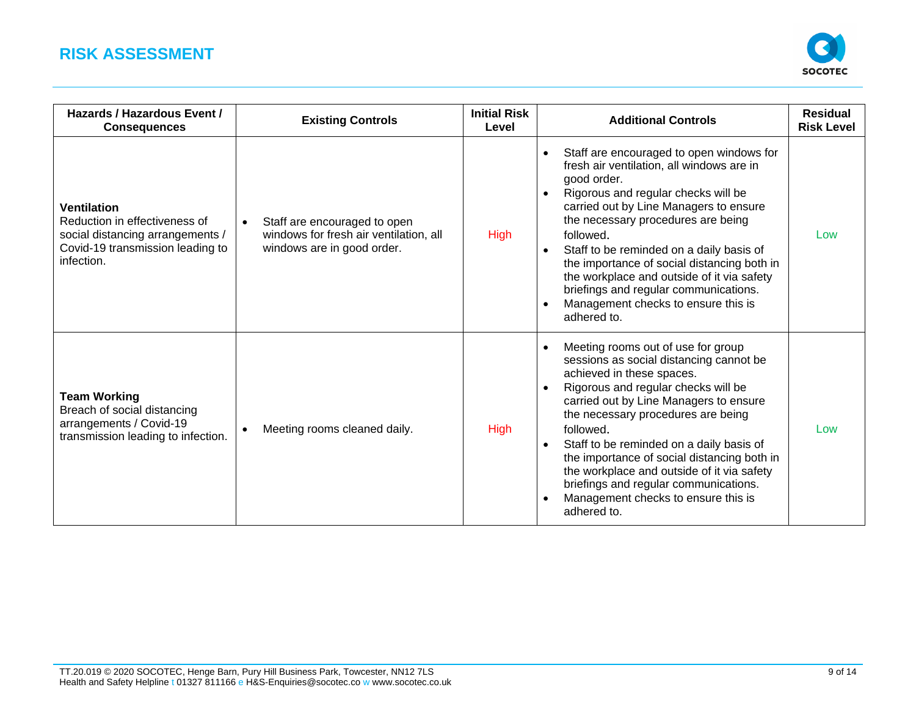

| Hazards / Hazardous Event /<br><b>Consequences</b>                                                                                        | <b>Existing Controls</b>                                                                             | <b>Initial Risk</b><br>Level | <b>Additional Controls</b>                                                                                                                                                                                                                                                                                                                                                                                                                                                                    | <b>Residual</b><br><b>Risk Level</b> |
|-------------------------------------------------------------------------------------------------------------------------------------------|------------------------------------------------------------------------------------------------------|------------------------------|-----------------------------------------------------------------------------------------------------------------------------------------------------------------------------------------------------------------------------------------------------------------------------------------------------------------------------------------------------------------------------------------------------------------------------------------------------------------------------------------------|--------------------------------------|
| <b>Ventilation</b><br>Reduction in effectiveness of<br>social distancing arrangements /<br>Covid-19 transmission leading to<br>infection. | Staff are encouraged to open<br>windows for fresh air ventilation, all<br>windows are in good order. | <b>High</b>                  | Staff are encouraged to open windows for<br>$\bullet$<br>fresh air ventilation, all windows are in<br>good order.<br>Rigorous and regular checks will be<br>carried out by Line Managers to ensure<br>the necessary procedures are being<br>followed.<br>Staff to be reminded on a daily basis of<br>the importance of social distancing both in<br>the workplace and outside of it via safety<br>briefings and regular communications.<br>Management checks to ensure this is<br>adhered to. | Low                                  |
| <b>Team Working</b><br>Breach of social distancing<br>arrangements / Covid-19<br>transmission leading to infection.                       | Meeting rooms cleaned daily.                                                                         | <b>High</b>                  | Meeting rooms out of use for group<br>sessions as social distancing cannot be<br>achieved in these spaces.<br>Rigorous and regular checks will be<br>carried out by Line Managers to ensure<br>the necessary procedures are being<br>followed.<br>Staff to be reminded on a daily basis of<br>the importance of social distancing both in<br>the workplace and outside of it via safety<br>briefings and regular communications.<br>Management checks to ensure this is<br>adhered to.        | Low                                  |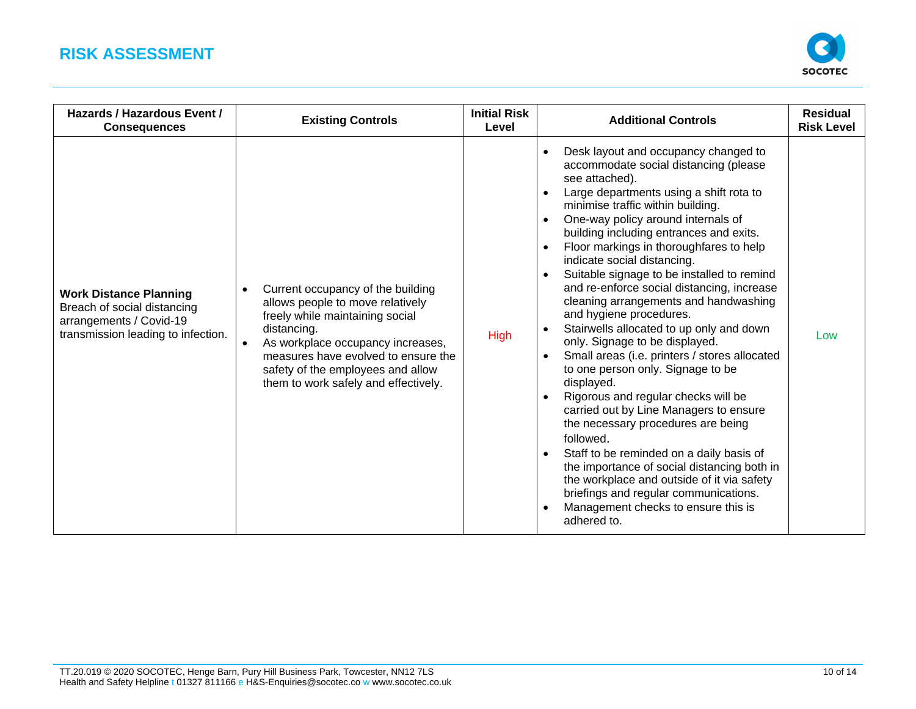

| Hazards / Hazardous Event /<br><b>Consequences</b>                                                                            | <b>Existing Controls</b>                                                                                                                                                                                                                                                                      | <b>Initial Risk</b><br>Level | <b>Additional Controls</b>                                                                                                                                                                                                                                                                                                                                                                                                                                                                                                                                                                                                                                                                                                                                                                                                                                                                                                                                                                                                                                                                                      | <b>Residual</b><br><b>Risk Level</b> |
|-------------------------------------------------------------------------------------------------------------------------------|-----------------------------------------------------------------------------------------------------------------------------------------------------------------------------------------------------------------------------------------------------------------------------------------------|------------------------------|-----------------------------------------------------------------------------------------------------------------------------------------------------------------------------------------------------------------------------------------------------------------------------------------------------------------------------------------------------------------------------------------------------------------------------------------------------------------------------------------------------------------------------------------------------------------------------------------------------------------------------------------------------------------------------------------------------------------------------------------------------------------------------------------------------------------------------------------------------------------------------------------------------------------------------------------------------------------------------------------------------------------------------------------------------------------------------------------------------------------|--------------------------------------|
| <b>Work Distance Planning</b><br>Breach of social distancing<br>arrangements / Covid-19<br>transmission leading to infection. | Current occupancy of the building<br>$\bullet$<br>allows people to move relatively<br>freely while maintaining social<br>distancing.<br>As workplace occupancy increases,<br>measures have evolved to ensure the<br>safety of the employees and allow<br>them to work safely and effectively. | <b>High</b>                  | Desk layout and occupancy changed to<br>$\bullet$<br>accommodate social distancing (please<br>see attached).<br>Large departments using a shift rota to<br>$\bullet$<br>minimise traffic within building.<br>One-way policy around internals of<br>building including entrances and exits.<br>Floor markings in thoroughfares to help<br>$\bullet$<br>indicate social distancing.<br>Suitable signage to be installed to remind<br>and re-enforce social distancing, increase<br>cleaning arrangements and handwashing<br>and hygiene procedures.<br>Stairwells allocated to up only and down<br>only. Signage to be displayed.<br>Small areas (i.e. printers / stores allocated<br>to one person only. Signage to be<br>displayed.<br>Rigorous and regular checks will be<br>carried out by Line Managers to ensure<br>the necessary procedures are being<br>followed.<br>Staff to be reminded on a daily basis of<br>the importance of social distancing both in<br>the workplace and outside of it via safety<br>briefings and regular communications.<br>Management checks to ensure this is<br>adhered to. | Low                                  |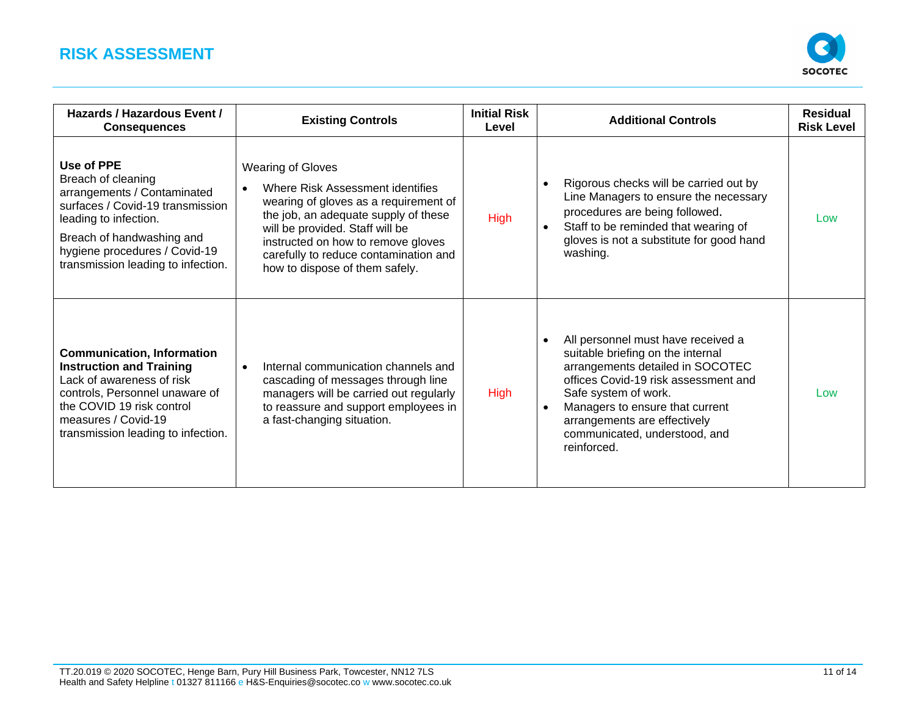

| Hazards / Hazardous Event /<br><b>Consequences</b>                                                                                                                                                                               | <b>Existing Controls</b>                                                                                                                                                                                                                                                                          | <b>Initial Risk</b><br>Level | <b>Additional Controls</b>                                                                                                                                                                                                                                                                                  | <b>Residual</b><br><b>Risk Level</b> |
|----------------------------------------------------------------------------------------------------------------------------------------------------------------------------------------------------------------------------------|---------------------------------------------------------------------------------------------------------------------------------------------------------------------------------------------------------------------------------------------------------------------------------------------------|------------------------------|-------------------------------------------------------------------------------------------------------------------------------------------------------------------------------------------------------------------------------------------------------------------------------------------------------------|--------------------------------------|
| Use of PPE<br>Breach of cleaning<br>arrangements / Contaminated<br>surfaces / Covid-19 transmission<br>leading to infection.<br>Breach of handwashing and<br>hygiene procedures / Covid-19<br>transmission leading to infection. | <b>Wearing of Gloves</b><br>Where Risk Assessment identifies<br>wearing of gloves as a requirement of<br>the job, an adequate supply of these<br>will be provided. Staff will be<br>instructed on how to remove gloves<br>carefully to reduce contamination and<br>how to dispose of them safely. | <b>High</b>                  | Rigorous checks will be carried out by<br>$\bullet$<br>Line Managers to ensure the necessary<br>procedures are being followed.<br>Staff to be reminded that wearing of<br>$\bullet$<br>gloves is not a substitute for good hand<br>washing.                                                                 | Low                                  |
| <b>Communication, Information</b><br><b>Instruction and Training</b><br>Lack of awareness of risk<br>controls, Personnel unaware of<br>the COVID 19 risk control<br>measures / Covid-19<br>transmission leading to infection.    | Internal communication channels and<br>$\bullet$<br>cascading of messages through line<br>managers will be carried out regularly<br>to reassure and support employees in<br>a fast-changing situation.                                                                                            | <b>High</b>                  | All personnel must have received a<br>$\bullet$<br>suitable briefing on the internal<br>arrangements detailed in SOCOTEC<br>offices Covid-19 risk assessment and<br>Safe system of work.<br>Managers to ensure that current<br>arrangements are effectively<br>communicated, understood, and<br>reinforced. | Low                                  |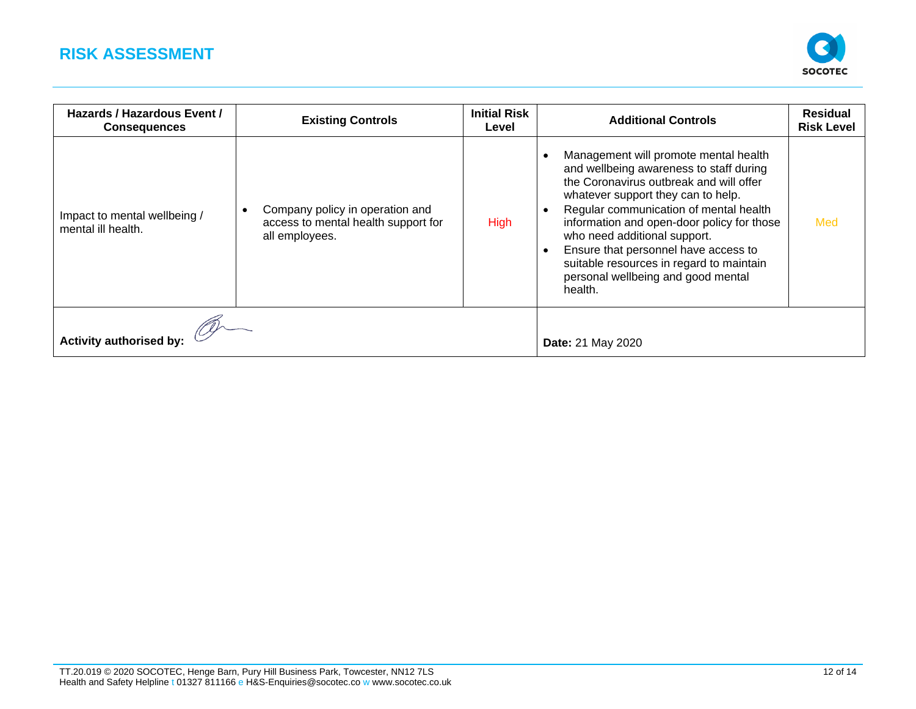

| Hazards / Hazardous Event /<br><b>Consequences</b> | <b>Existing Controls</b>                                                                 | <b>Initial Risk</b><br>Level | <b>Additional Controls</b>                                                                                                                                                                                                                                                                                                                                                                                                     | <b>Residual</b><br><b>Risk Level</b> |
|----------------------------------------------------|------------------------------------------------------------------------------------------|------------------------------|--------------------------------------------------------------------------------------------------------------------------------------------------------------------------------------------------------------------------------------------------------------------------------------------------------------------------------------------------------------------------------------------------------------------------------|--------------------------------------|
| Impact to mental wellbeing /<br>mental ill health. | Company policy in operation and<br>access to mental health support for<br>all employees. | <b>High</b>                  | Management will promote mental health<br>and wellbeing awareness to staff during<br>the Coronavirus outbreak and will offer<br>whatever support they can to help.<br>Regular communication of mental health<br>information and open-door policy for those<br>who need additional support.<br>Ensure that personnel have access to<br>suitable resources in regard to maintain<br>personal wellbeing and good mental<br>health. | Med                                  |
|                                                    |                                                                                          |                              |                                                                                                                                                                                                                                                                                                                                                                                                                                |                                      |
| <b>Activity authorised by:</b>                     |                                                                                          |                              | <b>Date: 21 May 2020</b>                                                                                                                                                                                                                                                                                                                                                                                                       |                                      |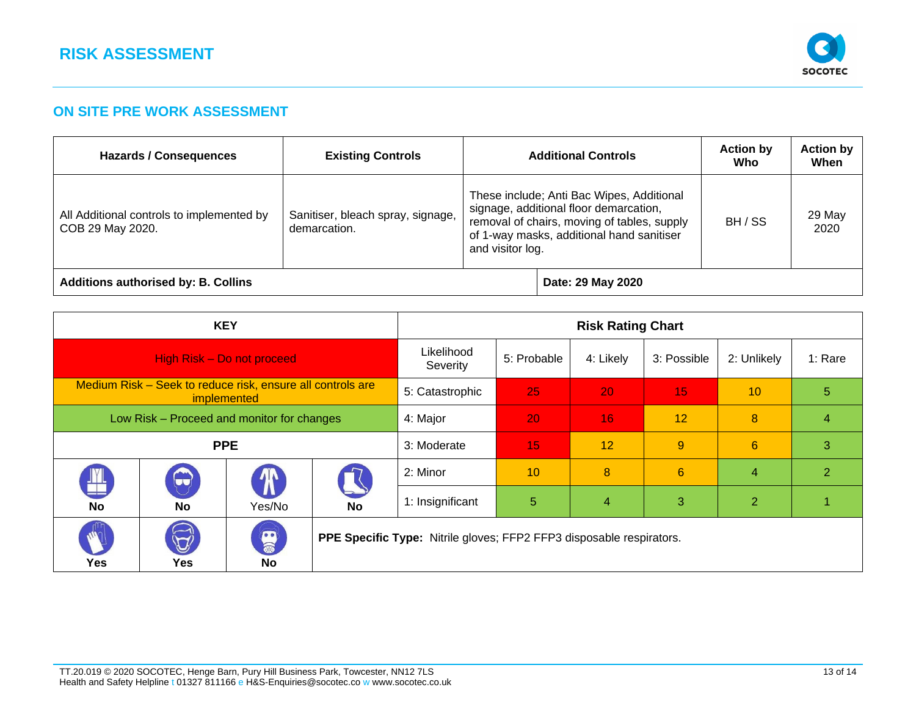

#### **ON SITE PRE WORK ASSESSMENT**

| Hazards / Consequences                                        | <b>Existing Controls</b>                          | <b>Additional Controls</b>                                                                                                                                                                          |                   | <b>Action by</b><br>Who | <b>Action by</b><br>When |
|---------------------------------------------------------------|---------------------------------------------------|-----------------------------------------------------------------------------------------------------------------------------------------------------------------------------------------------------|-------------------|-------------------------|--------------------------|
| All Additional controls to implemented by<br>COB 29 May 2020. | Sanitiser, bleach spray, signage,<br>demarcation. | These include; Anti Bac Wipes, Additional<br>signage, additional floor demarcation,<br>removal of chairs, moving of tables, supply<br>of 1-way masks, additional hand sanitiser<br>and visitor log. |                   | BH / SS                 | 29 May<br>2020           |
| <b>Additions authorised by: B. Collins</b>                    |                                                   |                                                                                                                                                                                                     | Date: 29 May 2020 |                         |                          |

| <b>KEY</b>                                                                |                                            |                 | <b>Risk Rating Chart</b>                                             |                  |                 |             |             |                |                |
|---------------------------------------------------------------------------|--------------------------------------------|-----------------|----------------------------------------------------------------------|------------------|-----------------|-------------|-------------|----------------|----------------|
| High Risk - Do not proceed                                                |                                            |                 | Likelihood<br>Severity                                               | 5: Probable      | 4: Likely       | 3: Possible | 2: Unlikely | 1: Rare        |                |
| Medium Risk - Seek to reduce risk, ensure all controls are<br>implemented |                                            | 5: Catastrophic | 25                                                                   | 20               | 15 <sub>1</sub> | 10          | 5           |                |                |
| Low Risk - Proceed and monitor for changes                                |                                            | 4: Major        | 20                                                                   | 16               | 12              | 8           | 4           |                |                |
| <b>PPE</b><br>3: Moderate                                                 |                                            | 15              | 12                                                                   | 9                | 6               | 3           |             |                |                |
| ÿ                                                                         | $\bigodot$                                 | $\bm{\Lambda}$  |                                                                      | 2: Minor         | 10              | 8           | 6           | $\overline{4}$ | $\overline{2}$ |
| <b>No</b>                                                                 | <b>No</b>                                  | Yes/No          | No                                                                   | 1: Insignificant | $\overline{5}$  | 4           | 3           | 2 <sup>1</sup> |                |
| Yes                                                                       | $\bigcirc \hspace{-0.5mm} \bigcirc$<br>Yes | B<br>No         | PPE Specific Type: Nitrile gloves; FFP2 FFP3 disposable respirators. |                  |                 |             |             |                |                |